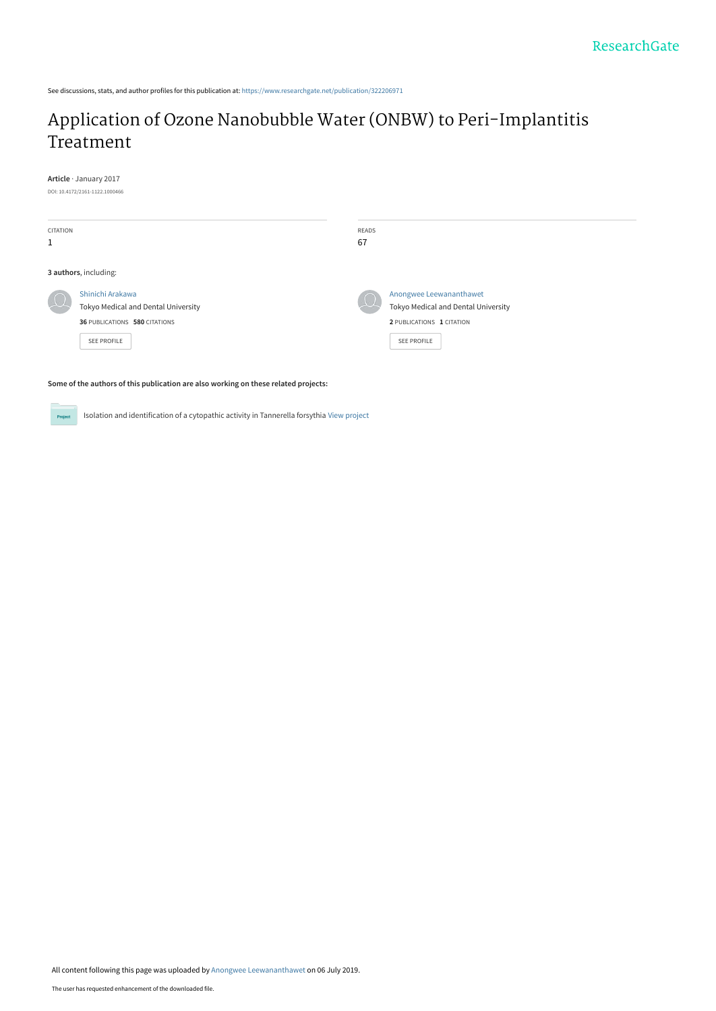See discussions, stats, and author profiles for this publication at: [https://www.researchgate.net/publication/322206971](https://www.researchgate.net/publication/322206971_Application_of_Ozone_Nanobubble_Water_ONBW_to_Peri-Implantitis_Treatment?enrichId=rgreq-4568bc8a19c7bcb73c9fe4b2bdfe6767-XXX&enrichSource=Y292ZXJQYWdlOzMyMjIwNjk3MTtBUzo3Nzc1MTc5OTI1MDk0NDBAMTU2MjM4NjE0MzEwMw%3D%3D&el=1_x_2&_esc=publicationCoverPdf)

# [Application of Ozone Nanobubble Water \(ONBW\) to Peri-Implantitis](https://www.researchgate.net/publication/322206971_Application_of_Ozone_Nanobubble_Water_ONBW_to_Peri-Implantitis_Treatment?enrichId=rgreq-4568bc8a19c7bcb73c9fe4b2bdfe6767-XXX&enrichSource=Y292ZXJQYWdlOzMyMjIwNjk3MTtBUzo3Nzc1MTc5OTI1MDk0NDBAMTU2MjM4NjE0MzEwMw%3D%3D&el=1_x_3&_esc=publicationCoverPdf) Treatment

**Article** · January 2017

DOI: 10.4172/2161-1122.1000466

| <b>CITATION</b><br>1 |                                                                                                                | READS<br>67 |                                                                                                            |  |  |
|----------------------|----------------------------------------------------------------------------------------------------------------|-------------|------------------------------------------------------------------------------------------------------------|--|--|
|                      | 3 authors, including:                                                                                          |             |                                                                                                            |  |  |
|                      | Shinichi Arakawa<br>Tokyo Medical and Dental University<br>36 PUBLICATIONS 580 CITATIONS<br><b>SEE PROFILE</b> |             | Anongwee Leewananthawet<br>Tokyo Medical and Dental University<br>2 PUBLICATIONS 1 CITATION<br>SEE PROFILE |  |  |

**Some of the authors of this publication are also working on these related projects:**

Isolation and identification of a cytopathic activity in Tannerella forsythia [View project](https://www.researchgate.net/project/Isolation-and-identification-of-a-cytopathic-activity-in-Tannerella-forsythia?enrichId=rgreq-4568bc8a19c7bcb73c9fe4b2bdfe6767-XXX&enrichSource=Y292ZXJQYWdlOzMyMjIwNjk3MTtBUzo3Nzc1MTc5OTI1MDk0NDBAMTU2MjM4NjE0MzEwMw%3D%3D&el=1_x_9&_esc=publicationCoverPdf) Proj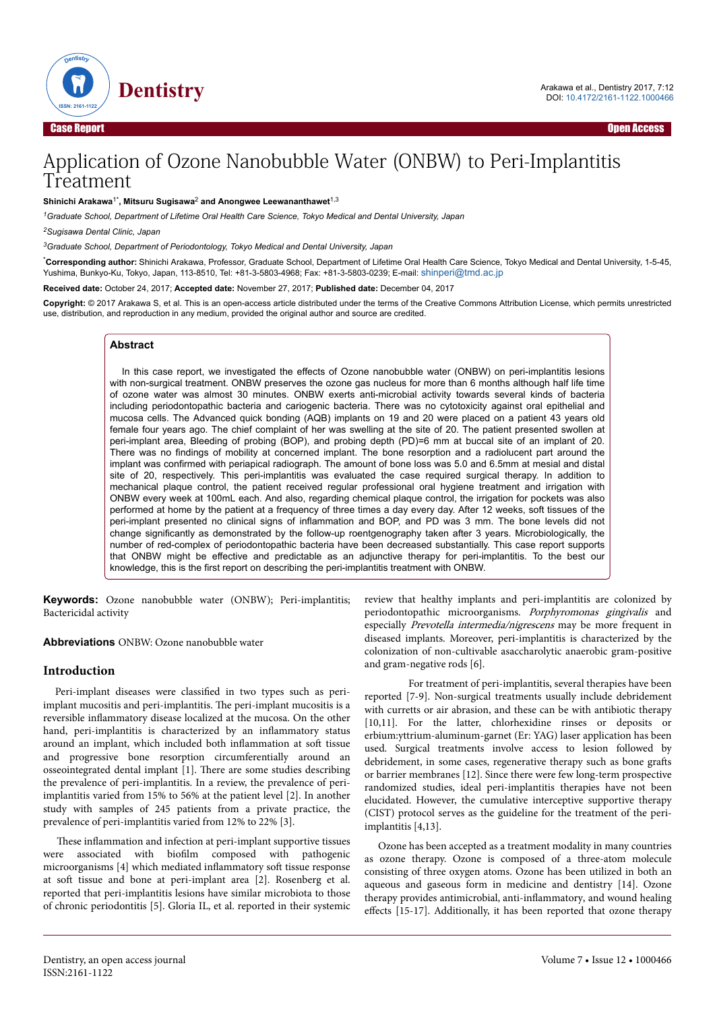

# Application of Ozone Nanobubble Water (ONBW) to Peri-Implantitis Treatment

#### **Shinichi Arakawa**1\***, Mitsuru Sugisawa**<sup>2</sup>  **and Anongwee Leewananthawet**1,3

*<sup>1</sup>Graduate School, Department of Lifetime Oral Health Care Science, Tokyo Medical and Dental University, Japan*

*<sup>2</sup>Sugisawa Dental Clinic, Japan*

*<sup>3</sup>Graduate School, Department of Periodontology, Tokyo Medical and Dental University, Japan*

\***Corresponding author:** Shinichi Arakawa, Professor, Graduate School, Department of Lifetime Oral Health Care Science, Tokyo Medical and Dental University, 1-5-45, Yushima, Bunkyo-Ku, Tokyo, Japan, 113-8510, Tel: +81-3-5803-4968; Fax: +81-3-5803-0239; E-mail: [shinperi@tmd.ac.jp](mailto:shinperi@tmd.ac.jp)

**Received date:** October 24, 2017; **Accepted date:** November 27, 2017; **Published date:** December 04, 2017

**Copyright:** © 2017 Arakawa S, et al. This is an open-access article distributed under the terms of the Creative Commons Attribution License, which permits unrestricted use, distribution, and reproduction in any medium, provided the original author and source are credited.

#### **Abstract**

In this case report, we investigated the effects of Ozone nanobubble water (ONBW) on peri-implantitis lesions with non-surgical treatment. ONBW preserves the ozone gas nucleus for more than 6 months although half life time of ozone water was almost 30 minutes. ONBW exerts anti-microbial activity towards several kinds of bacteria including periodontopathic bacteria and cariogenic bacteria. There was no cytotoxicity against oral epithelial and mucosa cells. The Advanced quick bonding (AQB) implants on 19 and 20 were placed on a patient 43 years old female four years ago. The chief complaint of her was swelling at the site of 20. The patient presented swollen at peri-implant area, Bleeding of probing (BOP), and probing depth (PD)=6 mm at buccal site of an implant of 20. There was no findings of mobility at concerned implant. The bone resorption and a radiolucent part around the implant was confirmed with periapical radiograph. The amount of bone loss was 5.0 and 6.5mm at mesial and distal site of 20, respectively. This peri-implantitis was evaluated the case required surgical therapy. In addition to mechanical plaque control, the patient received regular professional oral hygiene treatment and irrigation with ONBW every week at 100mL each. And also, regarding chemical plaque control, the irrigation for pockets was also performed at home by the patient at a frequency of three times a day every day. After 12 weeks, soft tissues of the peri-implant presented no clinical signs of inflammation and BOP, and PD was 3 mm. The bone levels did not change significantly as demonstrated by the follow-up roentgenography taken after 3 years. Microbiologically, the number of red-complex of periodontopathic bacteria have been decreased substantially. This case report supports that ONBW might be effective and predictable as an adjunctive therapy for peri-implantitis. To the best our knowledge, this is the first report on describing the peri-implantitis treatment with ONBW. **Example 12 Conservation**  $\theta$  **Conservation**  $\theta$  **Conservation**  $\theta$  **Conservation**  $\theta$  **Conservation**  $\theta$  **Conservation**  $\theta$  **Conservation**  $\theta$  **Conservation**  $\theta$  **Conservation**  $\theta$  **Conservation**  $\theta$  **Conserv** 

**Keywords:** Ozone nanobubble water (ONBW); Peri-implantitis; Bactericidal activity

**Abbreviations** ONBW: Ozone nanobubble water

#### **Introduction**

Peri-implant diseases were classified in two types such as periimplant mucositis and peri-implantitis. Нe peri-implant mucositis is a reversible inflammatory disease localized at the mucosa. On the other hand, peri-implantitis is characterized by an inflammatory status around an implant, which included both inflammation at soft tissue and progressive bone resorption circumferentially around an osseointegrated dental implant [1]. Нere are some studies describing the prevalence of peri-implantitis. In a review, the prevalence of periimplantitis varied from 15% to 56% at the patient level [2]. In another study with samples of 245 patients from a private practice, the prevalence of peri-implantitis varied from 12% to 22% [3].

These inflammation and infection at peri-implant supportive tissues were associated with biofilm composed with pathogenic microorganisms [4] which mediated inflammatory soft tissue response at soft tissue and bone at peri-implant area [2]. Rosenberg et al. reported that peri-implantitis lesions have similar microbiota to those of chronic periodontitis [5]. Gloria IL, et al. reported in their systemic review that healthy implants and peri-implantitis are colonized by periodontopathic microorganisms. Porphyromonas gingivalis and especially Prevotella intermedia/nigrescens may be more frequent in diseased implants. Moreover, peri-implantitis is characterized by the colonization of non-cultivable asaccharolytic anaerobic gram-positive and gram-negative rods [6].

For treatment of peri-implantitis, several therapies have been reported [7-9]. Non-surgical treatments usually include debridement with curretts or air abrasion, and these can be with antibiotic therapy [10,11]. For the latter, chlorhexidine rinses or deposits or erbium:yttrium-aluminum-garnet (Er: YAG) laser application has been used. Surgical treatments involve access to lesion followed by debridement, in some cases, regenerative therapy such as bone grafts or barrier membranes [12]. Since there were few long-term prospective randomized studies, ideal peri-implantitis therapies have not been elucidated. However, the cumulative interceptive supportive therapy (CIST) protocol serves as the guideline for the treatment of the periimplantitis [4,13].

Ozone has been accepted as a treatment modality in many countries as [ozone therapy.](https://www.austinozone.com) Ozone is composed of a three-atom molecule consisting of three oxygen atoms. Ozone has been utilized in both an aqueous and gaseous form in medicine and dentistry [14]. Ozone therapy provides antimicrobial, anti-inflammatory, and wound healing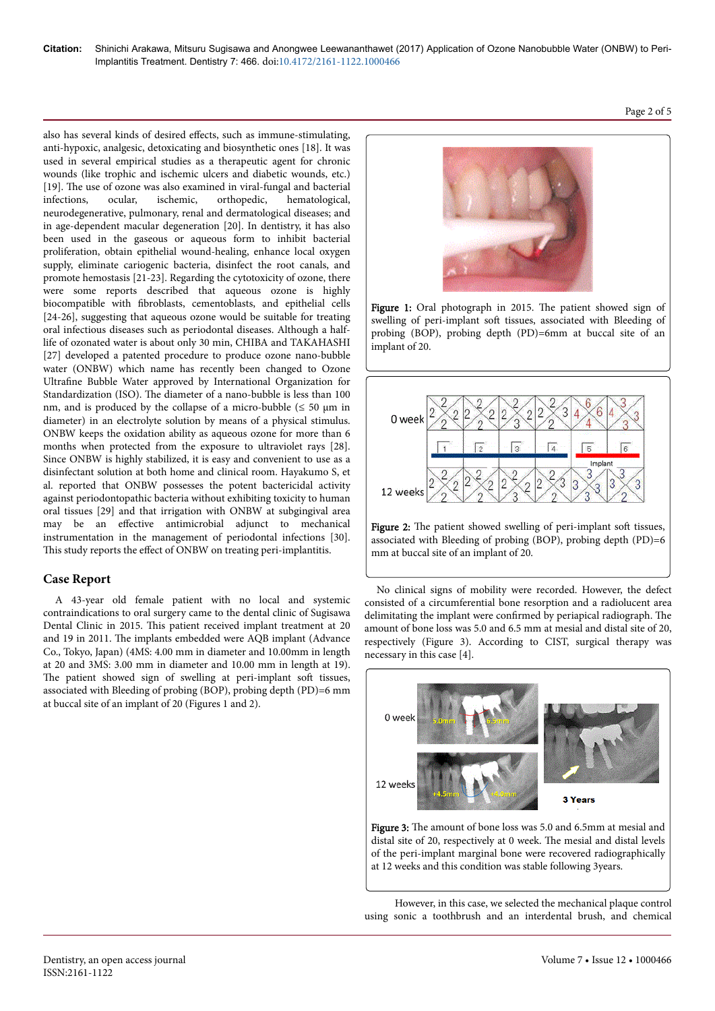also has several kinds of desired effects, such as immune-stimulating, anti-hypoxic, analgesic, detoxicating and biosynthetic ones [18]. It was used in several empirical studies as a therapeutic agent for chronic wounds (like trophic and ischemic ulcers and diabetic wounds, etc.) [19]. Нe use of ozone was also examined in viral-fungal and bacterial infections, ocular, ischemic, orthopedic, hematological, neurodegenerative, pulmonary, renal and dermatological diseases; and in age-dependent macular degeneration [20]. In dentistry, it has also been used in the gaseous or aqueous form to inhibit bacterial proliferation, obtain epithelial wound-healing, enhance local oxygen supply, eliminate cariogenic bacteria, disinfect the root canals, and promote hemostasis [21-23]. Regarding the cytotoxicity of ozone, there were some reports described that aqueous ozone is highly biocompatible with fibroblasts, cementoblasts, and epithelial cells [24-26], suggesting that aqueous ozone would be suitable for treating oral infectious diseases such as periodontal diseases. Although a halflife of ozonated water is about only 30 min, CHIBA and TAKAHASHI [27] developed a patented procedure to produce ozone nano-bubble water (ONBW) which name has recently been changed to Ozone Ultrafine Bubble Water approved by International Organization for Standardization (ISO). Нe diameter of a nano-bubble is less than 100 nm, and is produced by the collapse of a micro-bubble  $(\leq 50 \text{ }\mu\text{m} \text{ in }$ diameter) in an electrolyte solution by means of a physical stimulus. ONBW keeps the oxidation ability as aqueous ozone for more than 6 months when protected from the exposure to ultraviolet rays [28]. Since ONBW is highly stabilized, it is easy and convenient to use as a disinfectant solution at both home and clinical room. Hayakumo S, et al. reported that ONBW possesses the potent bactericidal activity against periodontopathic bacteria without exhibiting toxicity to human oral tissues [29] and that irrigation with ONBW at subgingival area may be an effective antimicrobial adjunct to mechanical instrumentation in the management of periodontal infections [30]. This study reports the effect of ONBW on treating peri-implantitis.

# **Case Report**

A 43-year old female patient with no local and systemic contraindications to oral surgery came to the dental clinic of Sugisawa Dental Clinic in 2015. This patient received implant treatment at 20 and 19 in 2011. Нe implants embedded were AQB implant (Advance Co., Tokyo, Japan) (4MS: 4.00 mm in diameter and 10.00mm in length at 20 and 3MS: 3.00 mm in diameter and 10.00 mm in length at 19). The patient showed sign of swelling at peri-implant soft tissues, associated with Bleeding of probing (BOP), probing depth (PD)=6 mm at buccal site of an implant of 20 (Figures 1 and 2).



Figure 1: Oral photograph in 2015. Нe patient showed sign of swelling of peri-implant soft tissues, associated with Bleeding of probing (BOP), probing depth (PD)=6mm at buccal site of an implant of 20.



Figure 2: The patient showed swelling of peri-implant soft tissues, associated with Bleeding of probing (BOP), probing depth (PD)=6 mm at buccal site of an implant of 20.

No clinical signs of mobility were recorded. However, the defect consisted of a circumferential bone resorption and a radiolucent area delimitating the implant were confirmed by periapical radiograph. Нe amount of bone loss was 5.0 and 6.5 mm at mesial and distal site of 20, respectively (Figure 3). According to CIST, surgical therapy was necessary in this case [4].



Figure 3: The amount of bone loss was 5.0 and 6.5mm at mesial and distal site of 20, respectively at 0 week. Нe mesial and distal levels of the peri-implant marginal bone were recovered radiographically at 12 weeks and this condition was stable following 3years.

However, in this case, we selected the mechanical plaque control using sonic a toothbrush and an interdental brush, and chemical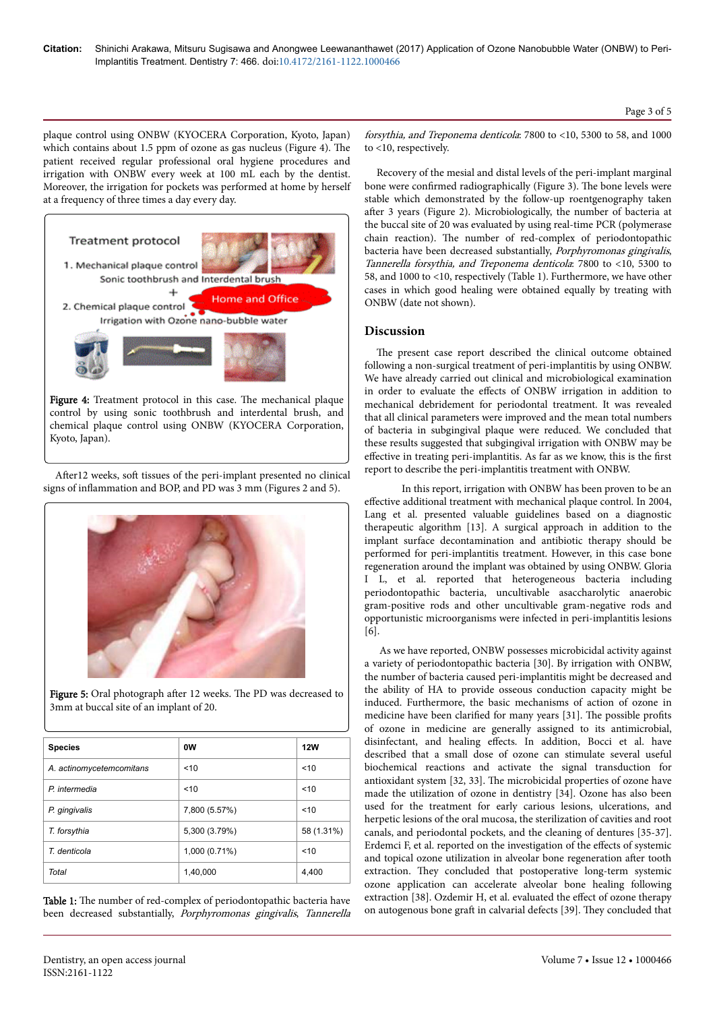plaque control using ONBW (KYOCERA Corporation, Kyoto, Japan) which contains about 1.5 ppm of ozone as gas nucleus (Figure 4). The patient received regular professional oral hygiene procedures and irrigation with ONBW every week at 100 mL each by the dentist. Moreover, the irrigation for pockets was performed at home by herself at a frequency of three times a day every day.



control by using sonic toothbrush and interdental brush, and chemical plaque control using ONBW (KYOCERA Corporation, Kyoto, Japan).

After12 weeks, soft tissues of the peri-implant presented no clinical signs of inflammation and BOP, and PD was 3 mm (Figures 2 and 5).



Figure 5: Oral photograph after 12 weeks. The PD was decreased to 3mm at buccal site of an implant of 20.

| <b>Species</b>           | 0W            | <b>12W</b> |
|--------------------------|---------------|------------|
| A. actinomycetemcomitans | < 10          | 10         |
| P. intermedia            | 10            | 10         |
| P. gingivalis            | 7,800 (5.57%) | 10         |
| T. forsythia             | 5,300 (3.79%) | 58 (1.31%) |
| T. denticola             | 1,000 (0.71%) | 10         |
| Total                    | 1,40,000      | 4,400      |

Table 1: The number of red-complex of periodontopathic bacteria have been decreased substantially, Porphyromonas gingivalis, Tannerella forsythia, and Treponema denticola: 7800 to <10, 5300 to 58, and 1000 to <10, respectively.

Recovery of the mesial and distal levels of the peri-implant marginal bone were confirmed radiographically (Figure 3). Нe bone levels were stable which demonstrated by the follow-up roentgenography taken after 3 years (Figure 2). Microbiologically, the number of bacteria at the buccal site of 20 was evaluated by using real-time PCR (polymerase chain reaction). Нe number of red-complex of periodontopathic bacteria have been decreased substantially, Porphyromonas gingivalis, Tannerella forsythia, and Treponema denticola: 7800 to <10, 5300 to 58, and 1000 to <10, respectively (Table 1). Furthermore, we have other cases in which good healing were obtained equally by treating with ONBW (date not shown).

### **Discussion**

The present case report described the clinical outcome obtained following a non-surgical treatment of peri-implantitis by using ONBW. We have already carried out clinical and microbiological examination in order to evaluate the effects of ONBW irrigation in addition to mechanical debridement for periodontal treatment. It was revealed that all clinical parameters were improved and the mean total numbers of bacteria in subgingival plaque were reduced. We concluded that these results suggested that subgingival irrigation with ONBW may be effective in treating peri-implantitis. As far as we know, this is the first report to describe the peri-implantitis treatment with ONBW.

In this report, irrigation with ONBW has been proven to be an effective additional treatment with mechanical plaque control. In 2004, Lang et al. presented valuable guidelines based on a diagnostic therapeutic algorithm [13]. A surgical approach in addition to the implant surface decontamination and antibiotic therapy should be performed for peri-implantitis treatment. However, in this case bone regeneration around the implant was obtained by using ONBW. Gloria I L, et al. reported that heterogeneous bacteria including periodontopathic bacteria, uncultivable asaccharolytic anaerobic gram-positive rods and other uncultivable gram-negative rods and opportunistic microorganisms were infected in peri-implantitis lesions  $[6]$ .

As we have reported, ONBW possesses microbicidal activity against a variety of periodontopathic bacteria [30]. By irrigation with ONBW, the number of bacteria caused peri-implantitis might be decreased and the ability of HA to provide osseous conduction capacity might be induced. Furthermore, the basic mechanisms of action of ozone in medicine have been clarified for many years [31]. The possible profits of ozone in medicine are generally assigned to its antimicrobial, disinfectant, and healing effects. In addition, Bocci et al. have described that a small dose of ozone can stimulate several useful biochemical reactions and activate the signal transduction for antioxidant system [32, 33]. Нe microbicidal properties of ozone have made the utilization of ozone in dentistry [34]. Ozone has also been used for the treatment for early carious lesions, ulcerations, and herpetic lesions of the oral mucosa, the sterilization of cavities and root canals, and periodontal pockets, and the cleaning of dentures [35-37]. Erdemci F, et al. reported on the investigation of the effects of systemic and topical ozone utilization in alveolar bone regeneration after tooth extraction. Нey concluded that postoperative long-term systemic ozone application can accelerate alveolar bone healing following extraction [38]. Ozdemir H, et al. evaluated the effect of ozone therapy on autogenous bone graft in calvarial defects [39]. They concluded that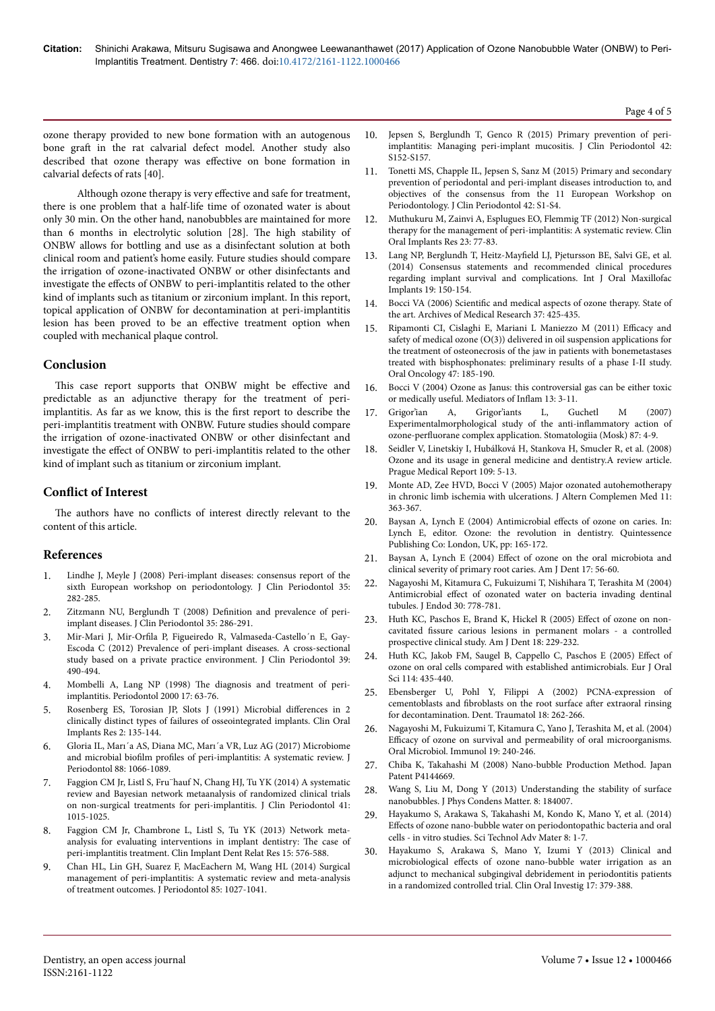ozone therapy provided to new bone formation with an autogenous bone graft in the rat calvarial defect model. Another study also described that ozone therapy was effective on bone formation in calvarial defects of rats [40].

Although ozone therapy is very effective and safe for treatment, there is one problem that a half-life time of ozonated water is about only 30 min. On the other hand, nanobubbles are maintained for more than 6 months in electrolytic solution [28]. Нe high stability of ONBW allows for bottling and use as a disinfectant solution at both clinical room and patient's home easily. Future studies should compare the irrigation of ozone-inactivated ONBW or other disinfectants and investigate the effects of ONBW to peri-implantitis related to the other kind of implants such as titanium or zirconium implant. In this report, topical application of ONBW for decontamination at peri-implantitis lesion has been proved to be an effective treatment option when coupled with mechanical plaque control.

### **Conclusion**

This case report supports that ONBW might be effective and predictable as an adjunctive therapy for the treatment of periimplantitis. As far as we know, this is the first report to describe the peri-implantitis treatment with ONBW. Future studies should compare the irrigation of ozone-inactivated ONBW or other disinfectant and investigate the effect of ONBW to peri-implantitis related to the other kind of implant such as titanium or zirconium implant.

## **Conflict of Interest**

The authors have no conflicts of interest directly relevant to the content of this article.

### **References**

- [Lindhe J, Meyle J \(2008\) Peri-implant diseases: consensus report of the](https://doi.org/10.1111/j.1600-051x.2008.01283.x) [sixth European workshop on periodontology. J Clin Periodontol 35:](https://doi.org/10.1111/j.1600-051x.2008.01283.x) [282-285.](https://doi.org/10.1111/j.1600-051x.2008.01283.x)
- 2. [Zitzmann NU, Berglundh T \(2008\)](https://doi.org/10.1111/j.1600-051x.2008.01274.x) Definition and prevalence of peri[implant diseases. J Clin Periodontol 35: 286-291.](https://doi.org/10.1111/j.1600-051x.2008.01274.x)
- 3. Mir-Mari J, Mir-Orfila P, Figueiredo R, Valmaseda-Castello'n E, Gay-[Escoda C \(2012\) Prevalence of peri-implant diseases. A cross-sectional](https://doi.org/10.1111/j.1600-051x.2012.01872.x) [study based on a private practice environment. J Clin Periodontol 39:](https://doi.org/10.1111/j.1600-051x.2012.01872.x) [490-494.](https://doi.org/10.1111/j.1600-051x.2012.01872.x)
- 4. Mombelli A, Lang NP (1998) Нe diagnosis and treatment of periimplantitis. Periodontol 2000 17: 63-76.
- [Rosenberg ES, Torosian JP, Slots J \(1991\) Microbial](https://doi.org/10.1034/j.1600-0501.1991.020306.x) differences in 2 [clinically distinct types of failures of osseointegrated implants. Clin Oral](https://doi.org/10.1034/j.1600-0501.1991.020306.x) [Implants Res 2: 135-144.](https://doi.org/10.1034/j.1600-0501.1991.020306.x)
- 6. [Gloria IL, Marı´a AS, Diana MC, Marı´a VR, Luz AG \(2017\) Microbiome](https://doi.org/10.1902/jop.2017.170123) and microbial biofilm profiles [of peri-implantitis: A systematic review. J](https://doi.org/10.1902/jop.2017.170123) [Periodontol 88: 1066-1089.](https://doi.org/10.1902/jop.2017.170123)
- 7. [Faggion CM Jr, Listl S, Fru¨hauf N, Chang HJ, Tu YK \(2014\) A systematic](https://doi.org/10.1111/jcpe.12292) [review and Bayesian network metaanalysis of randomized clinical trials](https://doi.org/10.1111/jcpe.12292) [on non-surgical treatments for peri-implantitis. J Clin Periodontol 41:](https://doi.org/10.1111/jcpe.12292) [1015-1025.](https://doi.org/10.1111/jcpe.12292)
- [Faggion CM Jr, Chambrone L, Listl S, Tu YK \(2013\) Network meta](https://doi.org/10.1111/j.1708-8208.2011.00384.x)[analysis for evaluating interventions in implant dentistry:](https://doi.org/10.1111/j.1708-8208.2011.00384.x) Нe case of [peri-implantitis treatment. Clin Implant Dent Relat Res 15: 576-588.](https://doi.org/10.1111/j.1708-8208.2011.00384.x)
- 9. [Chan HL, Lin GH, Suarez F, MacEachern M, Wang HL \(2014\) Surgical](https://doi.org/10.1902/jop.2013.130563) [management of peri-implantitis: A systematic review and meta-analysis](https://doi.org/10.1902/jop.2013.130563) [of treatment outcomes. J Periodontol 85: 1027-1041.](https://doi.org/10.1902/jop.2013.130563)
- 10. [Jepsen S, Berglundh T, Genco R \(2015\) Primary prevention of peri](https://doi.org/10.1111/jcpe.12369)[implantitis: Managing peri-implant mucositis. J Clin Periodontol 42:](https://doi.org/10.1111/jcpe.12369) [S152-S157.](https://doi.org/10.1111/jcpe.12369)
- 11. Tonetti MS, Chapple IL, Jepsen S, Sanz M (2015) Primary and secondary prevention of periodontal and peri-implant diseases introduction to, and objectives of the consensus from the 11 European Workshop on Periodontology. J Clin Periodontol 42: S1-S4.
- 12. [Muthukuru M, Zainvi A, Esplugues EO, Flemmig TF \(2012\) Non-surgical](https://doi.org/10.1111/j.1600-0501.2012.02542.x) [therapy for the management of peri-implantitis: A systematic review. Clin](https://doi.org/10.1111/j.1600-0501.2012.02542.x) [Oral Implants Res 23: 77-83.](https://doi.org/10.1111/j.1600-0501.2012.02542.x)
- 13. Lang NP, Berglundh T, Heitz-Mayfield [LJ, Pjetursson BE, Salvi GE, et al.](https://doi.org/10.11607/jomi.2013.g3) [\(2014\) Consensus statements and recommended clinical procedures](https://doi.org/10.11607/jomi.2013.g3) [regarding implant survival and complications. Int J Oral Maxillofac](https://doi.org/10.11607/jomi.2013.g3) [Implants 19: 150-154.](https://doi.org/10.11607/jomi.2013.g3)
- 14. Bocci VA (2006) Scientific [and medical aspects of ozone therapy. State of](https://doi.org/10.1016/j.arcmed.2005.08.006) [the art. Archives of Medical Research 37: 425-435.](https://doi.org/10.1016/j.arcmed.2005.08.006)
- 15. [Ripamonti CI, Cislaghi E, Mariani L Maniezzo M \(2011\)](https://doi.org/10.1016/j.oraloncology.2011.01.002) Efficacy and [safety of medical ozone \(O\(3\)\) delivered in oil suspension applications for](https://doi.org/10.1016/j.oraloncology.2011.01.002) [the treatment of osteonecrosis of the jaw in patients with bonemetastases](https://doi.org/10.1016/j.oraloncology.2011.01.002) [treated with bisphosphonates: preliminary results of a phase I-II study.](https://doi.org/10.1016/j.oraloncology.2011.01.002) [Oral Oncology 47: 185-190.](https://doi.org/10.1016/j.oraloncology.2011.01.002)
- 16. [Bocci V \(2004\) Ozone as Janus: this controversial gas can be either toxic](https://doi.org/10.1080/0962935062000197083) [or medically useful. Mediators of](https://doi.org/10.1080/0962935062000197083) Inflam 13: 3-11.
- 17. Grigor'ian A, Grigor'iants L, Guchetl M (2007) Experimentalmorphological study of the anti-inflammatory action of ozone-perfluorane complex application. Stomatologiia (Mosk) 87: 4-9.
- 18. Seidler V, Linetskiy I, Hubálková H, Stankova H, Smucler R, et al. (2008) Ozone and its usage in general medicine and dentistry.A review article. Prague Medical Report 109: 5-13.
- 19. [Monte AD, Zee HVD, Bocci V \(2005\) Major ozonated autohemotherapy](https://doi.org/10.1089/acm.2005.11.363) [in chronic limb ischemia with ulcerations. J Altern Complemen Med 11:](https://doi.org/10.1089/acm.2005.11.363) [363-367.](https://doi.org/10.1089/acm.2005.11.363)
- 20. Baysan A, Lynch E (2004) Antimicrobial effects of ozone on caries. In: Lynch E, editor. Ozone: the revolution in dentistry. Quintessence Publishing Co: London, UK, pp: 165-172.
- 21. Baysan A, Lynch E (2004) Effect of ozone on the oral microbiota and clinical severity of primary root caries. Am J Dent 17: 56-60.
- 22. [Nagayoshi M, Kitamura C, Fukuizumi T, Nishihara T, Terashita M \(2004\)](https://doi.org/10.1097/00004770-200411000-00007) Antimicrobial effect [of ozonated water on bacteria invading dentinal](https://doi.org/10.1097/00004770-200411000-00007) [tubules. J Endod 30: 778-781.](https://doi.org/10.1097/00004770-200411000-00007)
- 23. Huth KC, Paschos E, Brand K, Hickel R (2005) Effect of ozone on noncavitated fissure carious lesions in permanent molars - a controlled prospective clinical study. Am J Dent 18: 229-232.
- 24. [Huth KC, Jakob FM, Saugel B, Cappello C, Paschos E \(2005\)](https://doi.org/10.1111/j.1600-0722.2006.00390.x) Effect of [ozone on oral cells compared with established antimicrobials. Eur J Oral](https://doi.org/10.1111/j.1600-0722.2006.00390.x) [Sci 114: 435-440.](https://doi.org/10.1111/j.1600-0722.2006.00390.x)
- 25. [Ebensberger U, Pohl Y, Filippi A \(2002\) PCNA-expression of](https://doi.org/10.1034/j.1600-9657.2002.00087.x) cementoblasts and fibroblasts [on the root surface](https://doi.org/10.1034/j.1600-9657.2002.00087.x) after extraoral rinsing [for decontamination. Dent. Traumatol 18: 262-266.](https://doi.org/10.1034/j.1600-9657.2002.00087.x)
- 26. [Nagayoshi M, Fukuizumi T, Kitamura C, Yano J, Terashita M, et al. \(2004\)](https://doi.org/10.1111/j.1399-302x.2004.00146.x) Efficacy [of ozone on survival and permeability of oral microorganisms.](https://doi.org/10.1111/j.1399-302x.2004.00146.x) [Oral Microbiol. Immunol 19: 240-246.](https://doi.org/10.1111/j.1399-302x.2004.00146.x)
- 27. Chiba K, Takahashi M (2008) Nano-bubble Production Method. Japan Patent P4144669.
- 28. [Wang S, Liu M, Dong Y \(2013\) Understanding the stability of surface](https://doi.org/10.1088/0953-8984/25/18/184007) [nanobubbles. J Phys Condens Matter. 8: 184007.](https://doi.org/10.1088/0953-8984/25/18/184007)
- 29. [Hayakumo S, Arakawa S, Takahashi M, Kondo K, Mano Y, et al. \(2014\)](https://doi.org/10.1088/1468-6996/15/5/055003) Effects [of ozone nano-bubble water on periodontopathic bacteria and oral](https://doi.org/10.1088/1468-6996/15/5/055003) [cells - in vitro studies. Sci Technol Adv Mater 8: 1-7.](https://doi.org/10.1088/1468-6996/15/5/055003)
- 30. [Hayakumo S, Arakawa S, Mano Y, Izumi Y \(2013\) Clinical and](https://doi.org/10.1007/s00784-012-0711-7) microbiological effects [of ozone nano-bubble water irrigation as an](https://doi.org/10.1007/s00784-012-0711-7) [adjunct to mechanical subgingival debridement in periodontitis patients](https://doi.org/10.1007/s00784-012-0711-7) [in a randomized controlled trial. Clin Oral Investig 17: 379-388.](https://doi.org/10.1007/s00784-012-0711-7)